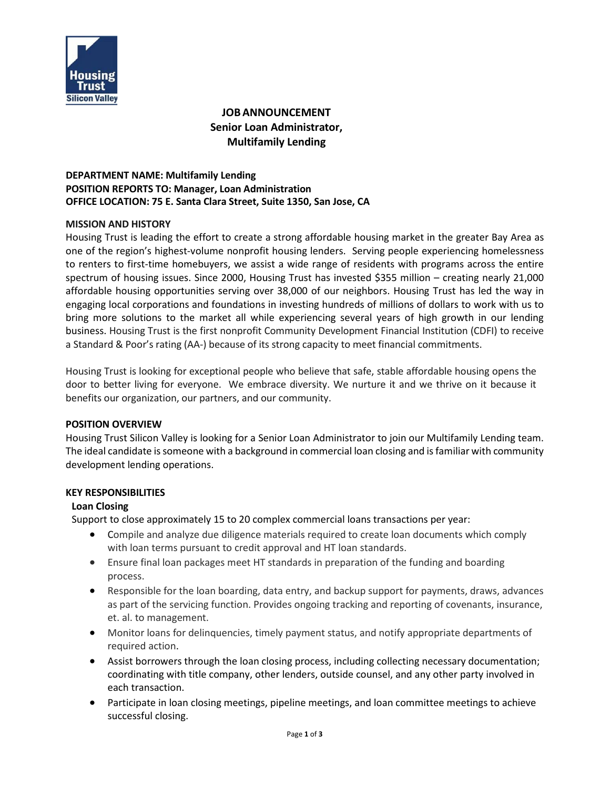

# **JOBANNOUNCEMENT Senior Loan Administrator, Multifamily Lending**

# **DEPARTMENT NAME: Multifamily Lending POSITION REPORTS TO: Manager, Loan Administration OFFICE LOCATION: 75 E. Santa Clara Street, Suite 1350, San Jose, CA**

#### **MISSION AND HISTORY**

Housing Trust is leading the effort to create a strong affordable housing market in the greater Bay Area as one of the region's highest-volume nonprofit housing lenders. Serving people experiencing homelessness to renters to first-time homebuyers, we assist a wide range of residents with programs across the entire spectrum of housing issues. Since 2000, Housing Trust has invested \$355 million – creating nearly 21,000 affordable housing opportunities serving over 38,000 of our neighbors. Housing Trust has led the way in engaging local corporations and foundations in investing hundreds of millions of dollars to work with us to bring more solutions to the market all while experiencing several years of high growth in our lending business. Housing Trust is the first nonprofit Community Development Financial Institution (CDFI) to receive a Standard & Poor's rating (AA-) because of its strong capacity to meet financial commitments.

Housing Trust is looking for exceptional people who believe that safe, stable affordable housing opens the door to better living for everyone. We embrace diversity. We nurture it and we thrive on it because it benefits our organization, our partners, and our community.

#### **POSITION OVERVIEW**

Housing Trust Silicon Valley is looking for a Senior Loan Administrator to join our Multifamily Lending team. The ideal candidate is someone with a background in commercial loan closing and is familiar with community development lending operations.

#### **KEY RESPONSIBILITIES**

#### **Loan Closing**

Support to close approximately 15 to 20 complex commercial loans transactions per year:

- Compile and analyze due diligence materials required to create loan documents which comply with loan terms pursuant to credit approval and HT loan standards.
- Ensure final loan packages meet HT standards in preparation of the funding and boarding process.
- Responsible for the loan boarding, data entry, and backup support for payments, draws, advances as part of the servicing function. Provides ongoing tracking and reporting of covenants, insurance, et. al. to management.
- Monitor loans for delinquencies, timely payment status, and notify appropriate departments of required action.
- Assist borrowers through the loan closing process, including collecting necessary documentation; coordinating with title company, other lenders, outside counsel, and any other party involved in each transaction.
- Participate in loan closing meetings, pipeline meetings, and loan committee meetings to achieve successful closing.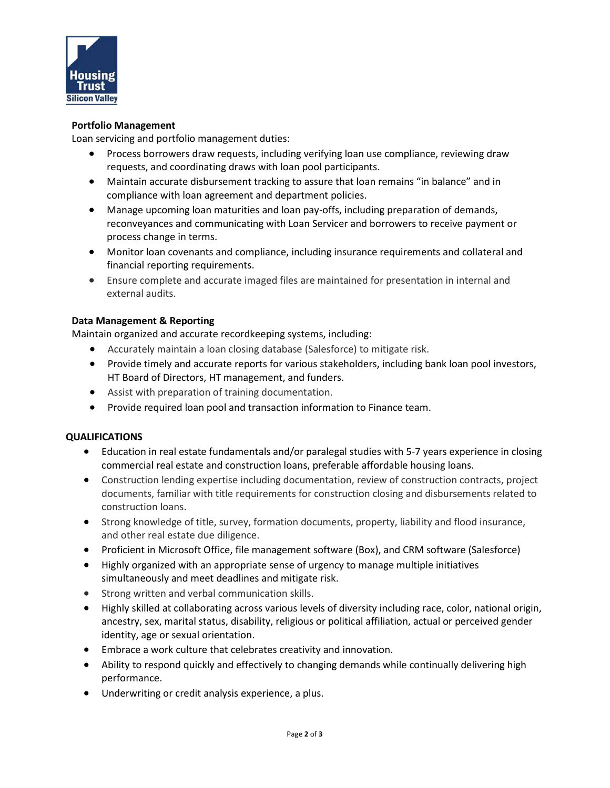

#### **Portfolio Management**

Loan servicing and portfolio management duties:

- Process borrowers draw requests, including verifying loan use compliance, reviewing draw requests, and coordinating draws with loan pool participants.
- Maintain accurate disbursement tracking to assure that loan remains "in balance" and in compliance with loan agreement and department policies.
- Manage upcoming loan maturities and loan pay-offs, including preparation of demands, reconveyances and communicating with Loan Servicer and borrowers to receive payment or process change in terms.
- Monitor loan covenants and compliance, including insurance requirements and collateral and financial reporting requirements.
- Ensure complete and accurate imaged files are maintained for presentation in internal and external audits.

# **Data Management & Reporting**

Maintain organized and accurate recordkeeping systems, including:

- Accurately maintain a loan closing database (Salesforce) to mitigate risk.
- Provide timely and accurate reports for various stakeholders, including bank loan pool investors, HT Board of Directors, HT management, and funders.
- Assist with preparation of training documentation.
- Provide required loan pool and transaction information to Finance team.

# **QUALIFICATIONS**

- Education in real estate fundamentals and/or paralegal studies with 5-7 years experience in closing commercial real estate and construction loans, preferable affordable housing loans.
- Construction lending expertise including documentation, review of construction contracts, project documents, familiar with title requirements for construction closing and disbursements related to construction loans.
- Strong knowledge of title, survey, formation documents, property, liability and flood insurance, and other real estate due diligence.
- Proficient in Microsoft Office, file management software (Box), and CRM software (Salesforce)
- Highly organized with an appropriate sense of urgency to manage multiple initiatives simultaneously and meet deadlines and mitigate risk.
- Strong written and verbal communication skills.
- Highly skilled at collaborating across various levels of diversity including race, color, national origin, ancestry, sex, marital status, disability, religious or political affiliation, actual or perceived gender identity, age or sexual orientation.
- Embrace a work culture that celebrates creativity and innovation.
- Ability to respond quickly and effectively to changing demands while continually delivering high performance.
- Underwriting or credit analysis experience, a plus.